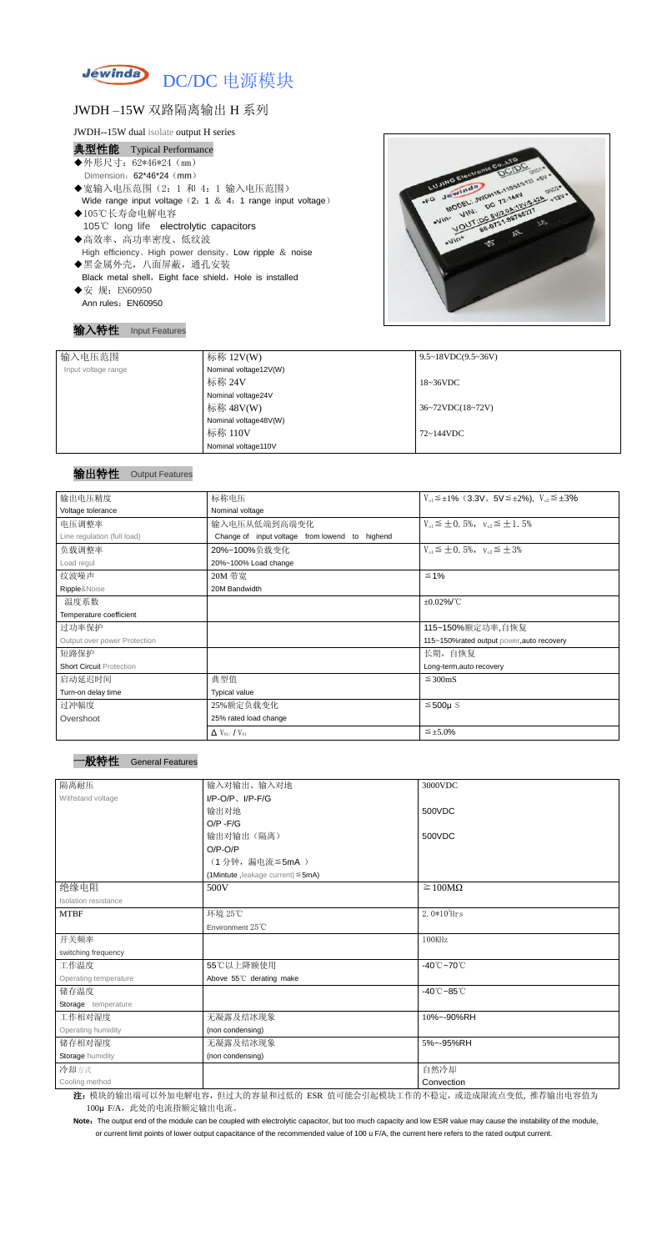

# JWDH –15W 双路隔离输出 H 系列

- 典型性能 Typical Performance ◆外形尺寸: 62\*46\*24 (mm) Dimension: 62\*46\*24 (mm) ◆宽输入电压范围(2:1 和 4:1 输入电压范围) Wide range input voltage (2: 1 & 4: 1 range input voltage) ◆105℃长寿命电解电容 105℃ long life electrolytic capacitors ◆高效率、高功率密度、低纹波 High efficiency、High power density、Low ripple & noise
- ◆黑金属外壳,八面屏蔽,通孔安装 Black metal shell, Eight face shield, Hole is installed
- ◆安 规: EN60950 Ann rules: EN60950

JWDH--15W dual isolate output H series

### 输入特性 Input Features



Note: The output end of the module can be coupled with electrolytic capacitor, but too much capacity and low ESR value may cause the instability of the module, or current limit points of lower output capacitance of the recommended value of 100 u F/A, the current here refers to the rated output current.

| 输入电压范围              | 标称 12V(W)             | $9.5 \sim 18 VDC(9.5 \sim 36 V)$ |
|---------------------|-----------------------|----------------------------------|
| Input voltage range | Nominal voltage12V(W) |                                  |
|                     | 标称 24V                | $18~36\textrm{VDC}$              |
|                     | Nominal voltage24V    |                                  |
|                     | 标称 48V(W)             | $36~72\t$ VDC $(18~72\t)$        |
|                     | Nominal voltage48V(W) |                                  |
|                     | 标称 110V               | 72~144VDC                        |
|                     | Nominal voltage110V   |                                  |

## 输出特性 Output Features

#### 一般特性 General Features

| 输出电压精度                          | 标称电压                                           | $V_{01} \leq \pm 1\%$ (3.3V, 5V $\leq \pm 2\%$ ), $V_{02} \leq \pm 3\%$ |  |  |
|---------------------------------|------------------------------------------------|-------------------------------------------------------------------------|--|--|
| Voltage tolerance               | Nominal voltage                                |                                                                         |  |  |
| 电压调整率                           | 输入电压从低端到高端变化                                   | $V_{01} \leq \pm 0.5\%$ , $V_{02} \leq \pm 1.5\%$                       |  |  |
| Line regulation (full load)     | Change of input voltage from lowend to highend |                                                                         |  |  |
| 负载调整率                           | 20%~100%负载变化                                   | $V_{01} \leq \pm 0.5\%$ , $V_{02} \leq \pm 3\%$                         |  |  |
| Load regul                      | 20%~100% Load change                           |                                                                         |  |  |
| 纹波噪声                            | 20M 带宽                                         | $\leq 1\%$                                                              |  |  |
| Ripple&Noise                    | 20M Bandwidth                                  |                                                                         |  |  |
| 温度系数                            |                                                | $\pm 0.02\%$ /°C                                                        |  |  |
| Temperature coefficient         |                                                |                                                                         |  |  |
| 过功率保护                           |                                                | 115~150%额定功率,自恢复                                                        |  |  |
| Output over power Protection    |                                                | 115~150%rated output power, auto recovery                               |  |  |
| 短路保护                            |                                                | 长期,自恢复                                                                  |  |  |
| <b>Short Circuit Protection</b> |                                                | Long-term, auto recovery                                                |  |  |
| 启动延迟时间                          | 典型值<br>$\leq$ 300mS                            |                                                                         |  |  |
| Turn-on delay time              | <b>Typical value</b>                           |                                                                         |  |  |
| 过冲幅度                            | 25%额定负载变化                                      | $≤500µ$ S                                                               |  |  |
| Overshoot                       | 25% rated load change                          |                                                                         |  |  |
|                                 | $\Delta$ V <sub>01</sub> /V <sub>01</sub>      | $\leq \pm 5.0\%$                                                        |  |  |

| 隔离耐压                  | 输入对输出、输入对地                              | 3000VDC                         |
|-----------------------|-----------------------------------------|---------------------------------|
| Withstand voltage     | $I/P$ -O/P, $I/P$ -F/G                  |                                 |
|                       | 输出对地                                    | 500VDC                          |
|                       | $O/P - F/G$                             |                                 |
|                       | 输出对输出(隔离)                               | 500VDC                          |
|                       | $O/P-O/P$                               |                                 |
|                       | (1分钟,漏电流≦5mA)                           |                                 |
|                       | (1Mintute, leakage current) $\leq$ 5mA) |                                 |
| 绝缘电阻                  | 500V                                    | $\geq 100M\Omega$               |
| Isolation resistance  |                                         |                                 |
| <b>MTBF</b>           | 环境 25℃                                  | $2.0*105$ Hrs                   |
|                       | Environment 25°C                        |                                 |
| 开关频率                  |                                         | 100KHz                          |
| switching frequency   |                                         |                                 |
| 工作温度                  | 55℃以上降额使用                               | -40 $°C$ ~70 $°C$               |
| Operating temperature | Above 55°C derating make                |                                 |
| 储存温度                  |                                         | $-40^{\circ}$ C $-85^{\circ}$ C |
| Storage temperature   |                                         |                                 |
| 工作相对湿度                | 无凝露及结冰现象                                | 10%~-90%RH                      |
| Operating humidity    | (non condensing)                        |                                 |
| 储存相对湿度                | 无凝露及结冰现象                                | 5%~-95%RH                       |
| Storage humidity      | (non condensing)                        |                                 |
| 冷却方式                  |                                         | 自然冷却                            |
| Cooling method        |                                         | Convection                      |

注: 模块的输出端可以外加电解电容,但过大的容量和过低的 ESR 值可能会引起模块工作的不稳定, 或造成限流点变低, 推荐输出电容值为 100μ F/A, 此处的电流指额定输出电流。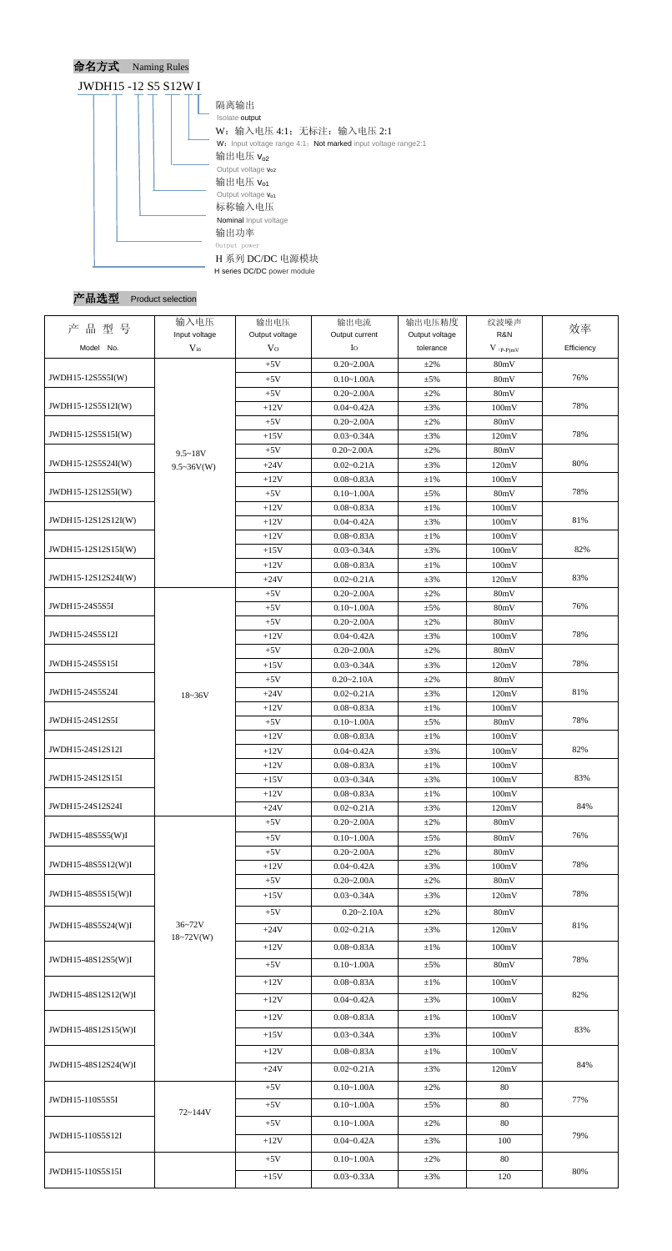

产品选型 Product selection

| 产品型号                | 输入电压              | 输出电压           | 输出电流           | 输出电压精度         | 纹波噪声          | 效率         |
|---------------------|-------------------|----------------|----------------|----------------|---------------|------------|
|                     | Input voltage     | Output voltage | Output current | Output voltage | R&N           |            |
| Model No.           | $V_{in}$          | V <sub>O</sub> | Io             | tolerance      | $V$ (p-p)mV   | Efficiency |
|                     |                   | $+5V$          | $0.20 - 2.00A$ | $+2\%$         | 80mV          |            |
| JWDH15-12S5S5I(W)   |                   | $+5V$          | $0.10 - 1.00A$ | $\pm$ 5%       | 80mV          | 76%        |
|                     |                   | $+5V$          | $0.20 - 2.00A$ | $\pm 2\%$      | 80mV          |            |
| JWDH15-12S5S12I(W)  |                   | $+12V$         | $0.04 - 0.42A$ | $\pm 3\%$      | 100mV         | 78%        |
|                     |                   | $+5V$          | $0.20 - 2.00A$ | $\pm 2\%$      | 80mV          |            |
| JWDH15-12S5S15I(W)  |                   | $+15V$         | $0.03 - 0.34A$ | $\pm 3\%$      | 120mV         | 78%        |
|                     | $9.5 - 18V$       | $+5V$          | $0.20 - 2.00A$ | $\pm 2\%$      | 80mV          | 80%        |
| JWDH15-12S5S24I(W)  | $9.5 \sim 36V(W)$ | $+24V$         | $0.02 - 0.21A$ | $\pm 3\%$      | 120mV         |            |
| JWDH15-12S12S5I(W)  |                   | $+12V$         | $0.08 - 0.83A$ | $\pm 1\%$      | 100mV         | 78%        |
|                     |                   | $+5V$          | $0.10 - 1.00A$ | $\pm$ 5%       | 80mV          |            |
| JWDH15-12S12S12I(W) |                   | $+12V$         | $0.08 - 0.83A$ | $\pm 1\%$      | 100mV         | 81%        |
|                     |                   | $+12V$         | $0.04 - 0.42A$ | $\pm 3\%$      | 100mV         |            |
| JWDH15-12S12S15I(W) |                   | $+12V$         | $0.08 - 0.83A$ | $\pm 1\%$      | 100mV         | 82%        |
|                     |                   | $+15V$         | $0.03 - 0.34A$ | $\pm 3\%$      | 100mV         |            |
| JWDH15-12S12S24I(W) |                   | $+12V$         | $0.08 - 0.83A$ | $\pm 1\%$      | 100mV         | 83%        |
|                     |                   | $+24V$         | $0.02 - 0.21A$ | $\pm 3\%$      | 120mV         |            |
| JWDH15-24S5S5I      |                   | $+5V$          | $0.20 - 2.00A$ | $\pm 2\%$      | 80mV          | 76%        |
|                     |                   | $+5V$          | $0.10 - 1.00A$ | $\pm$ 5%       | 80mV          |            |
| JWDH15-24S5S12I     |                   | $+5V$          | $0.20 - 2.00A$ | $\pm 2\%$      | 80mV          | 78%        |
|                     |                   | $+12V$         | $0.04 - 0.42A$ | $\pm 3\%$      | 100mV         |            |
| JWDH15-24S5S15I     |                   | $+5V$          | $0.20 - 2.00A$ | $\pm 2\%$      | 80mV          | 78%        |
|                     |                   | $+15V$         | $0.03 - 0.34A$ | $\pm 3\%$      | 120mV         |            |
| JWDH15-24S5S24I     |                   | $+5V$          | $0.20 - 2.10A$ | $\pm 2\%$      | 80mV          | 81%        |
|                     | 18~36V            | $+24V$         | $0.02 - 0.21A$ | $\pm 3\%$      | 120mV         |            |
| JWDH15-24S12S5I     |                   | $+12V$         | $0.08 - 0.83A$ | $\pm 1\%$      | 100mV         | 78%        |
|                     |                   | $+5V$          | $0.10 - 1.00A$ | $\pm$ 5%       | 80mV          |            |
| JWDH15-24S12S12I    |                   | $+12V$         | $0.08 - 0.83A$ | $\pm 1\%$      | 100mV         | 82%        |
|                     |                   | $+12V$         | $0.04 - 0.42A$ | $\pm 3\%$      | 100mV         |            |
| JWDH15-24S12S15I    |                   | $+12V$         | $0.08 - 0.83A$ | $\pm 1\%$      | 100mV         | 83%        |
|                     |                   | $+15V$         | $0.03 - 0.34A$ | $\pm 3\%$      | 100mV         |            |
| JWDH15-24S12S24I    |                   | $+12V$         | $0.08 - 0.83A$ | $\pm 1\%$      | 100mV         | 84%        |
|                     |                   | $+24V$         | $0.02 - 0.21A$ | $\pm 3\%$      | 120mV<br>80mV |            |
| JWDH15-48S5S5(W)I   |                   | $+5V$          | $0.20 - 2.00A$ | $\pm 2\%$      |               | 76%        |
|                     |                   | $+5V$          | $0.10 - 1.00A$ | $\pm$ 5%       | 80mV          |            |
| JWDH15-48S5S12(W)I  |                   | $+5V$          | $0.20 - 2.00A$ | $\pm 2\%$      | 80mV          | 78%        |
|                     |                   | $+12V$         | $0.04 - 0.42A$ | $\pm 3\%$      | 100mV         |            |
| JWDH15-48S5S15(W)I  |                   | $+5V$          | $0.20 - 2.00A$ | $\pm 2\%$      | 80mV          | 78%        |
|                     |                   | $+15V$         | $0.03 - 0.34A$ | $\pm 3\%$      | 120mV         |            |
|                     | $36 - 72V$        | $+5V$          | $0.20 - 2.10A$ | $\pm 2\%$      | 80mV          |            |
| JWDH15-48S5S24(W)I  | $18 - 72V(W)$     | $+24V$         | $0.02 - 0.21A$ | $\pm 3\%$      | 120mV         | 81%        |
|                     |                   | $+12V$         | $0.08 - 0.83A$ | $\pm 1\%$      | 100mV         |            |
| JWDH15-48S12S5(W)I  |                   | $+5V$          | $0.10 - 1.00A$ | $\pm$ 5%       | 80mV          | 78%        |
|                     |                   | $+12V$         | $0.08 - 0.83A$ | $\pm1\%$       | 100mV         |            |
| JWDH15-48S12S12(W)I |                   |                |                |                |               | 82%        |
|                     |                   | $+12V$         | $0.04 - 0.42A$ | $\pm 3\%$      | 100mV         |            |
|                     |                   | $+12V$         | $0.08 - 0.83A$ | $\pm 1\%$      | 100mV         |            |
| JWDH15-48S12S15(W)I |                   | $+15V$         | $0.03 - 0.34A$ | $\pm 3\%$      | 100mV         | 83%        |
|                     |                   | $+12V$         | $0.08 - 0.83A$ | $\pm 1\%$      | 100mV         |            |
| JWDH15-48S12S24(W)I |                   | $+24V$         | $0.02 - 0.21A$ | $\pm 3\%$      | 120mV         | 84%        |
|                     |                   |                |                |                |               |            |
|                     |                   | $+5V$          | $0.10 - 1.00A$ | $\pm 2\%$      | 80            |            |
| JWDH15-110S5S5I     | 72~144V           | $+5V$          | $0.10 - 1.00A$ | $\pm$ 5%       | 80            | 77%        |
|                     |                   | $+5V$          | $0.10 - 1.00A$ | $\pm 2\%$      | 80            |            |
| JWDH15-110S5S12I    |                   | $+12V$         | $0.04 - 0.42A$ | $\pm 3\%$      | 100           | 79%        |
|                     |                   |                |                |                |               |            |
| JWDH15-110S5S15I    |                   | $+5V$          | $0.10 - 1.00A$ | $\pm 2\%$      | 80            | 80%        |
|                     |                   | $+15V$         | $0.03 - 0.33A$ | $\pm 3\%$      | 120           |            |